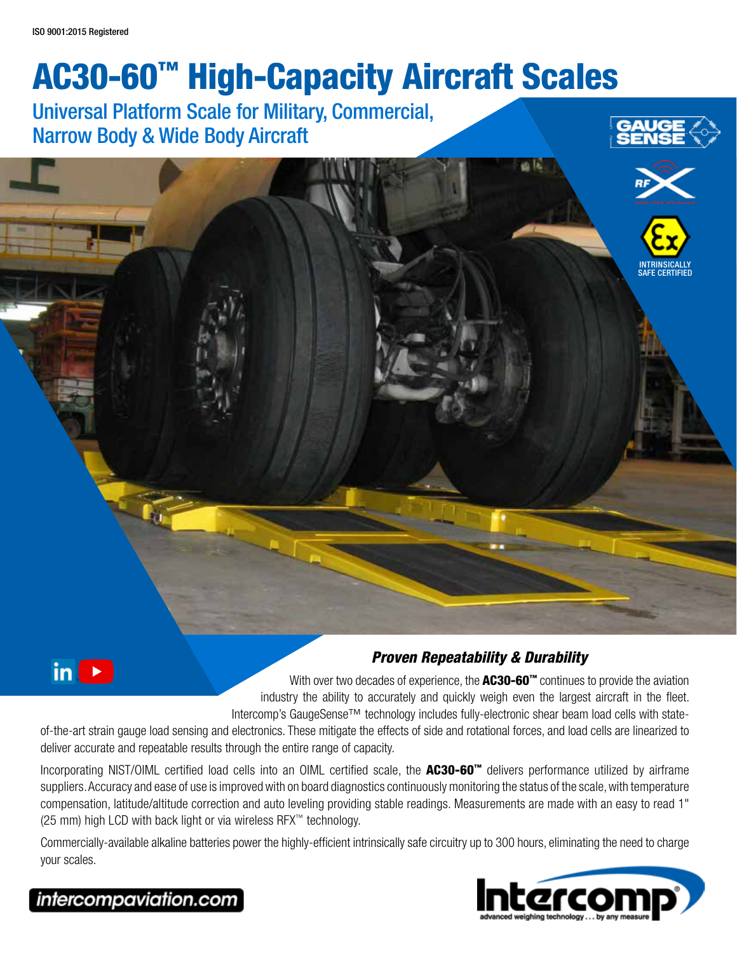# AC30-60™ High-Capacity Aircraft Scales

# Universal Platform Scale for Military, Commercial, Narrow Body & Wide Body Aircraft



60 lb



SAFE CERTIFIED



#### *Proven Repeatability & Durability*

With over two decades of experience, the  $AC30-60^{\circ}$  continues to provide the aviation industry the ability to accurately and quickly weigh even the largest aircraft in the fleet. Intercomp's GaugeSense™ technology includes fully-electronic shear beam load cells with state-

of-the-art strain gauge load sensing and electronics. These mitigate the effects of side and rotational forces, and load cells are linearized to deliver accurate and repeatable results through the entire range of capacity.

Incorporating NIST/OIML certified load cells into an OIML certified scale, the AC30-60™ delivers performance utilized by airframe suppliers. Accuracy and ease of use is improved with on board diagnostics continuously monitoring the status of the scale, with temperature compensation, latitude/altitude correction and auto leveling providing stable readings. Measurements are made with an easy to read 1" (25 mm) high LCD with back light or via wireless RFX™ technology.

Commercially-available alkaline batteries power the highly-efficient intrinsically safe circuitry up to 300 hours, eliminating the need to charge your scales.



## intercompaviation.com